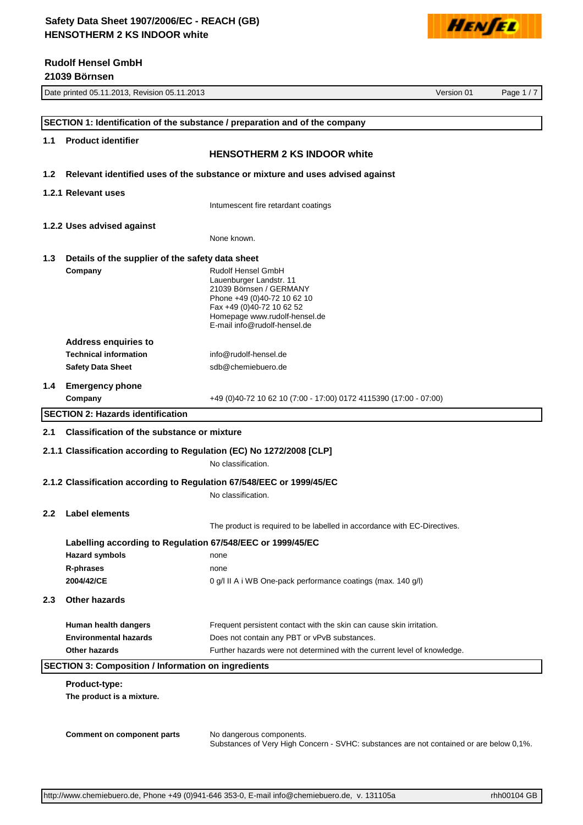

**21039 Börnsen**



|                  | Date printed 05.11.2013, Revision 05.11.2013               | Version 01                                                                              | Page 1/7 |
|------------------|------------------------------------------------------------|-----------------------------------------------------------------------------------------|----------|
|                  |                                                            |                                                                                         |          |
|                  |                                                            | SECTION 1: Identification of the substance / preparation and of the company             |          |
| 1.1              | <b>Product identifier</b>                                  |                                                                                         |          |
|                  |                                                            | <b>HENSOTHERM 2 KS INDOOR white</b>                                                     |          |
| 1.2 <sub>2</sub> |                                                            | Relevant identified uses of the substance or mixture and uses advised against           |          |
|                  |                                                            |                                                                                         |          |
|                  | 1.2.1 Relevant uses                                        |                                                                                         |          |
|                  |                                                            | Intumescent fire retardant coatings                                                     |          |
|                  | 1.2.2 Uses advised against                                 |                                                                                         |          |
|                  |                                                            | None known.                                                                             |          |
| 1.3              | Details of the supplier of the safety data sheet           |                                                                                         |          |
|                  | Company                                                    | Rudolf Hensel GmbH                                                                      |          |
|                  |                                                            | Lauenburger Landstr. 11<br>21039 Börnsen / GERMANY                                      |          |
|                  |                                                            | Phone +49 (0)40-72 10 62 10                                                             |          |
|                  |                                                            | Fax +49 (0)40-72 10 62 52                                                               |          |
|                  |                                                            | Homepage www.rudolf-hensel.de<br>E-mail info@rudolf-hensel.de                           |          |
|                  |                                                            |                                                                                         |          |
|                  | <b>Address enquiries to</b>                                |                                                                                         |          |
|                  | <b>Technical information</b>                               | info@rudolf-hensel.de                                                                   |          |
|                  | <b>Safety Data Sheet</b>                                   | sdb@chemiebuero.de                                                                      |          |
| 1.4              | <b>Emergency phone</b>                                     |                                                                                         |          |
|                  | Company                                                    | +49 (0)40-72 10 62 10 (7:00 - 17:00) 0172 4115390 (17:00 - 07:00)                       |          |
|                  | <b>SECTION 2: Hazards identification</b>                   |                                                                                         |          |
| 2.1              | <b>Classification of the substance or mixture</b>          |                                                                                         |          |
|                  |                                                            |                                                                                         |          |
|                  |                                                            | 2.1.1 Classification according to Regulation (EC) No 1272/2008 [CLP]                    |          |
|                  |                                                            | No classification.                                                                      |          |
|                  |                                                            | 2.1.2 Classification according to Regulation 67/548/EEC or 1999/45/EC                   |          |
|                  |                                                            | No classification.                                                                      |          |
| $2.2\phantom{0}$ | <b>Label elements</b>                                      |                                                                                         |          |
|                  |                                                            | The product is required to be labelled in accordance with EC-Directives.                |          |
|                  |                                                            |                                                                                         |          |
|                  | Labelling according to Regulation 67/548/EEC or 1999/45/EC |                                                                                         |          |
|                  | <b>Hazard symbols</b>                                      | none                                                                                    |          |
|                  | R-phrases                                                  | none                                                                                    |          |
|                  | 2004/42/CE                                                 | 0 g/l II A i WB One-pack performance coatings (max. 140 g/l)                            |          |
| 2.3              | <b>Other hazards</b>                                       |                                                                                         |          |
|                  | Human health dangers                                       | Frequent persistent contact with the skin can cause skin irritation.                    |          |
|                  | <b>Environmental hazards</b>                               | Does not contain any PBT or vPvB substances.                                            |          |
|                  | Other hazards                                              | Further hazards were not determined with the current level of knowledge.                |          |
|                  | <b>SECTION 3: Composition / Information on ingredients</b> |                                                                                         |          |
|                  |                                                            |                                                                                         |          |
|                  | Product-type:                                              |                                                                                         |          |
|                  | The product is a mixture.                                  |                                                                                         |          |
|                  |                                                            |                                                                                         |          |
|                  |                                                            |                                                                                         |          |
|                  | <b>Comment on component parts</b>                          | No dangerous components.                                                                |          |
|                  |                                                            | Substances of Very High Concern - SVHC: substances are not contained or are below 0,1%. |          |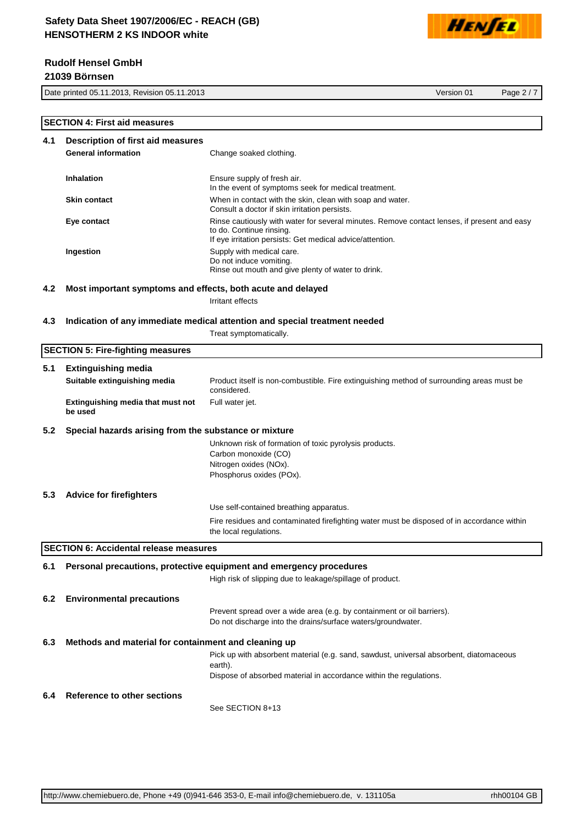

# **Rudolf Hensel GmbH**

**21039 Börnsen**

Date printed 05.11.2013, Revision 05.11.2013 Version 01 Page 2 / 7

|     | <b>SECTION 4: First aid measures</b>                        |                                                                                                                                                                                      |  |
|-----|-------------------------------------------------------------|--------------------------------------------------------------------------------------------------------------------------------------------------------------------------------------|--|
| 4.1 | <b>Description of first aid measures</b>                    |                                                                                                                                                                                      |  |
|     | <b>General information</b>                                  | Change soaked clothing.                                                                                                                                                              |  |
|     | <b>Inhalation</b>                                           | Ensure supply of fresh air.<br>In the event of symptoms seek for medical treatment.                                                                                                  |  |
|     | <b>Skin contact</b>                                         | When in contact with the skin, clean with soap and water.<br>Consult a doctor if skin irritation persists.                                                                           |  |
|     | Eye contact                                                 | Rinse cautiously with water for several minutes. Remove contact lenses, if present and easy<br>to do. Continue rinsing.<br>If eye irritation persists: Get medical advice/attention. |  |
|     | Ingestion                                                   | Supply with medical care.<br>Do not induce vomiting.<br>Rinse out mouth and give plenty of water to drink.                                                                           |  |
| 4.2 | Most important symptoms and effects, both acute and delayed |                                                                                                                                                                                      |  |
|     |                                                             | Irritant effects                                                                                                                                                                     |  |
|     |                                                             |                                                                                                                                                                                      |  |
| 4.3 |                                                             | Indication of any immediate medical attention and special treatment needed<br>Treat symptomatically.                                                                                 |  |
|     | <b>SECTION 5: Fire-fighting measures</b>                    |                                                                                                                                                                                      |  |
|     |                                                             |                                                                                                                                                                                      |  |
| 5.1 | <b>Extinguishing media</b><br>Suitable extinguishing media  | Product itself is non-combustible. Fire extinguishing method of surrounding areas must be                                                                                            |  |
|     |                                                             | considered.                                                                                                                                                                          |  |
|     | Extinguishing media that must not<br>be used                | Full water jet.                                                                                                                                                                      |  |
| 5.2 | Special hazards arising from the substance or mixture       |                                                                                                                                                                                      |  |
|     |                                                             | Unknown risk of formation of toxic pyrolysis products.<br>Carbon monoxide (CO)                                                                                                       |  |
|     |                                                             | Nitrogen oxides (NOx).<br>Phosphorus oxides (POx).                                                                                                                                   |  |
| 5.3 | <b>Advice for firefighters</b>                              |                                                                                                                                                                                      |  |
|     |                                                             | Use self-contained breathing apparatus.                                                                                                                                              |  |
|     |                                                             | Fire residues and contaminated firefighting water must be disposed of in accordance within<br>the local regulations.                                                                 |  |
|     | <b>SECTION 6: Accidental release measures</b>               |                                                                                                                                                                                      |  |
| 6.1 |                                                             | Personal precautions, protective equipment and emergency procedures                                                                                                                  |  |
|     |                                                             | High risk of slipping due to leakage/spillage of product.                                                                                                                            |  |
| 6.2 | <b>Environmental precautions</b>                            |                                                                                                                                                                                      |  |
|     |                                                             | Prevent spread over a wide area (e.g. by containment or oil barriers).                                                                                                               |  |
|     |                                                             | Do not discharge into the drains/surface waters/groundwater.                                                                                                                         |  |
| 6.3 | Methods and material for containment and cleaning up        |                                                                                                                                                                                      |  |
|     |                                                             | Pick up with absorbent material (e.g. sand, sawdust, universal absorbent, diatomaceous<br>earth).                                                                                    |  |
|     |                                                             | Dispose of absorbed material in accordance within the regulations.                                                                                                                   |  |
| 6.4 | <b>Reference to other sections</b>                          | See SECTION 8+13                                                                                                                                                                     |  |
|     |                                                             |                                                                                                                                                                                      |  |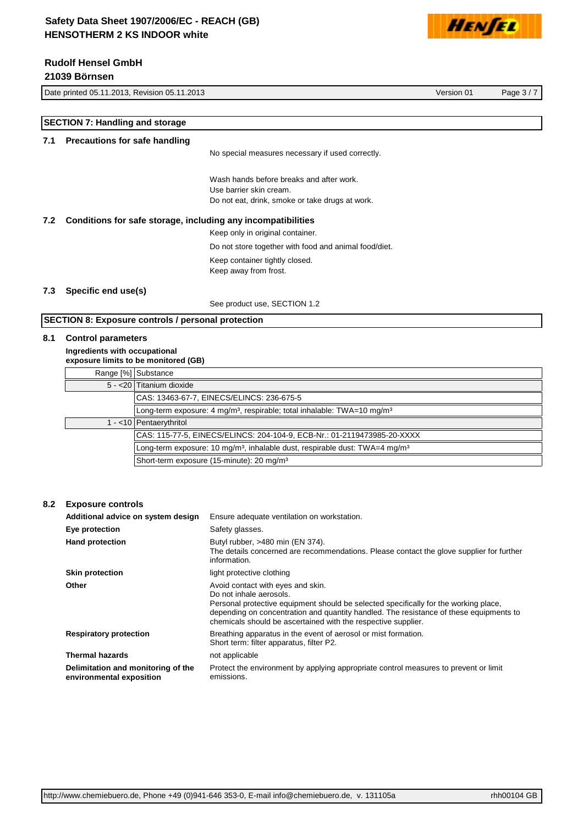# **Rudolf Hensel GmbH**

**21039 Börnsen**

Date printed 05.11.2013, Revision 05.11.2013 Version 01 Page 3 / 7



**SECTION 7: Handling and storage 7.1 Precautions for safe handling** No special measures necessary if used correctly. Wash hands before breaks and after work. Use barrier skin cream. Do not eat, drink, smoke or take drugs at work. **7.2 Conditions for safe storage, including any incompatibilities** Keep only in original container. Do not store together with food and animal food/diet. Keep container tightly closed. Keep away from frost. **7.3 Specific end use(s)**

See product use, SECTION 1.2

# **SECTION 8: Exposure controls / personal protection**

## **8.1 Control parameters**

**Ingredients with occupational exposure limits to be monitored (GB)**

|  | Range [%] Substance                                                                                 |  |
|--|-----------------------------------------------------------------------------------------------------|--|
|  | 5 - < 20 Titanium dioxide                                                                           |  |
|  | CAS: 13463-67-7, EINECS/ELINCS: 236-675-5                                                           |  |
|  | Long-term exposure: 4 mg/m <sup>3</sup> , respirable; total inhalable: TWA=10 mg/m <sup>3</sup>     |  |
|  | 1 - < 10   Pentaerythritol                                                                          |  |
|  | CAS: 115-77-5, EINECS/ELINCS: 204-104-9, ECB-Nr.: 01-2119473985-20-XXXX                             |  |
|  | Long-term exposure: 10 mg/m <sup>3</sup> , inhalable dust, respirable dust: TWA=4 mg/m <sup>3</sup> |  |
|  | Short-term exposure (15-minute): 20 mg/m <sup>3</sup>                                               |  |
|  |                                                                                                     |  |

## **8.2 Exposure controls**

| Additional advice on system design                             | Ensure adequate ventilation on workstation.                                                                                                                                                                                                                                                                     |
|----------------------------------------------------------------|-----------------------------------------------------------------------------------------------------------------------------------------------------------------------------------------------------------------------------------------------------------------------------------------------------------------|
| Eye protection                                                 | Safety glasses.                                                                                                                                                                                                                                                                                                 |
| <b>Hand protection</b>                                         | Butyl rubber, >480 min (EN 374).<br>The details concerned are recommendations. Please contact the glove supplier for further<br>information.                                                                                                                                                                    |
| <b>Skin protection</b>                                         | light protective clothing                                                                                                                                                                                                                                                                                       |
| Other                                                          | Avoid contact with eyes and skin.<br>Do not inhale aerosols.<br>Personal protective equipment should be selected specifically for the working place,<br>depending on concentration and quantity handled. The resistance of these equipments to<br>chemicals should be ascertained with the respective supplier. |
| <b>Respiratory protection</b>                                  | Breathing apparatus in the event of aerosol or mist formation.<br>Short term: filter apparatus, filter P2.                                                                                                                                                                                                      |
| <b>Thermal hazards</b>                                         | not applicable                                                                                                                                                                                                                                                                                                  |
| Delimitation and monitoring of the<br>environmental exposition | Protect the environment by applying appropriate control measures to prevent or limit<br>emissions.                                                                                                                                                                                                              |

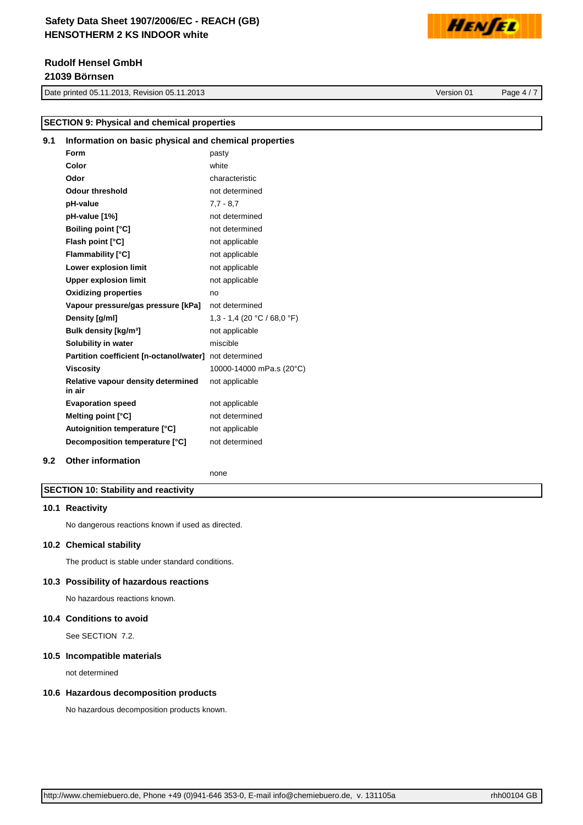# **Rudolf Hensel GmbH 21039 Börnsen**

Date printed 05.11.2013, Revision 05.11.2013 Version 01 Page 4 / 7

**SECTION 9: Physical and chemical properties**

HENSEL

# **9.1 Information on basic physical and chemical properties Form** pasty **Color** white

| וטוט                                         | willte                      |
|----------------------------------------------|-----------------------------|
| Odor                                         | characteristic              |
| <b>Odour threshold</b>                       | not determined              |
| pH-value                                     | $7.7 - 8.7$                 |
| pH-value [1%]                                | not determined              |
| <b>Boiling point [°C]</b>                    | not determined              |
| Flash point [°C]                             | not applicable              |
| <b>Flammability [°C]</b>                     | not applicable              |
| Lower explosion limit                        | not applicable              |
| <b>Upper explosion limit</b>                 | not applicable              |
| <b>Oxidizing properties</b>                  | no                          |
| Vapour pressure/gas pressure [kPa]           | not determined              |
| Density [g/ml]                               | 1,3 - 1,4 (20 °C / 68,0 °F) |
| Bulk density [kg/m <sup>3</sup> ]            | not applicable              |
| Solubility in water                          | miscible                    |
| Partition coefficient [n-octanol/water]      | not determined              |
| Viscosity                                    | 10000-14000 mPa.s (20°C)    |
| Relative vapour density determined<br>in air | not applicable              |
| <b>Evaporation speed</b>                     | not applicable              |
| Melting point [°C]                           | not determined              |
| Autoignition temperature [°C]                | not applicable              |
| Decomposition temperature [°C]               | not determined              |
|                                              |                             |

## **9.2 Other information**

none

## **SECTION 10: Stability and reactivity**

#### **10.1 Reactivity**

No dangerous reactions known if used as directed.

#### **10.2 Chemical stability**

The product is stable under standard conditions.

## **10.3 Possibility of hazardous reactions**

No hazardous reactions known.

## **10.4 Conditions to avoid**

See SECTION 7.2.

### **10.5 Incompatible materials**

not determined

## **10.6 Hazardous decomposition products**

No hazardous decomposition products known.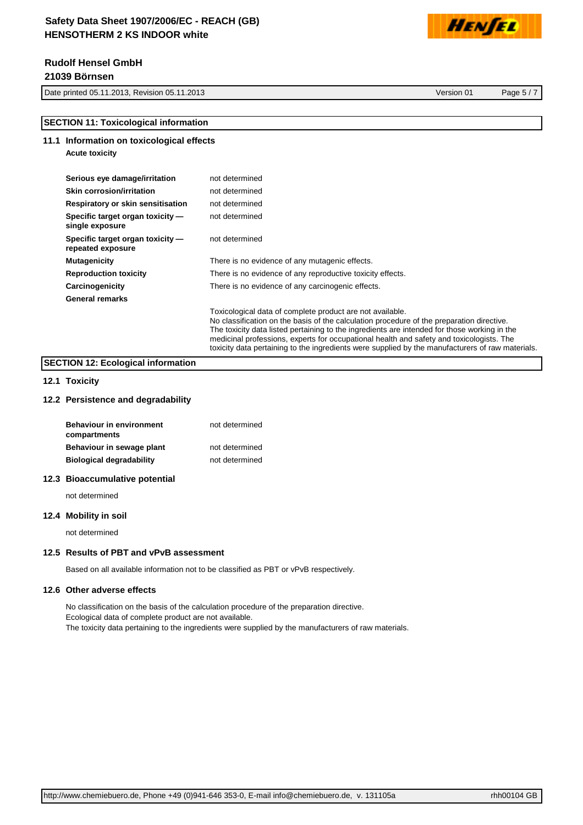# **Rudolf Hensel GmbH 21039 Börnsen**

**Acute toxicity**

Date printed 05.11.2013, Revision 05.11.2013 Version 01 Page 5 / 7

HENSEL

## **SECTION 11: Toxicological information**

## **11.1 Information on toxicological effects**

| Serious eye damage/irritation | not determined |
|-------------------------------|----------------|
| Skin corrosion/irritation     | not determined |

| <b>Skin corrosion/irritation</b>                      | not determined                                                                                                                                                                                                                                                                                                                                     |
|-------------------------------------------------------|----------------------------------------------------------------------------------------------------------------------------------------------------------------------------------------------------------------------------------------------------------------------------------------------------------------------------------------------------|
| Respiratory or skin sensitisation                     | not determined                                                                                                                                                                                                                                                                                                                                     |
| Specific target organ toxicity -<br>single exposure   | not determined                                                                                                                                                                                                                                                                                                                                     |
| Specific target organ toxicity -<br>repeated exposure | not determined                                                                                                                                                                                                                                                                                                                                     |
| <b>Mutagenicity</b>                                   | There is no evidence of any mutagenic effects.                                                                                                                                                                                                                                                                                                     |
| <b>Reproduction toxicity</b>                          | There is no evidence of any reproductive toxicity effects.                                                                                                                                                                                                                                                                                         |
| Carcinogenicity                                       | There is no evidence of any carcinogenic effects.                                                                                                                                                                                                                                                                                                  |
| <b>General remarks</b>                                |                                                                                                                                                                                                                                                                                                                                                    |
|                                                       | Toxicological data of complete product are not available.<br>No classification on the basis of the calculation procedure of the preparation directive.<br>The toxicity data listed pertaining to the ingredients are intended for those working in the<br>medicinal professions, experts for occupational health and safety and toxicologists. The |

toxicity data pertaining to the ingredients were supplied by the manufacturers of raw materials.

# **SECTION 12: Ecological information**

## **12.1 Toxicity**

### **12.2 Persistence and degradability**

| <b>Behaviour in environment</b><br>compartments | not determined |
|-------------------------------------------------|----------------|
| Behaviour in sewage plant                       | not determined |
| <b>Biological degradability</b>                 | not determined |

### **12.3 Bioaccumulative potential**

not determined

#### **12.4 Mobility in soil**

not determined

### **12.5 Results of PBT and vPvB assessment**

Based on all available information not to be classified as PBT or vPvB respectively.

#### **12.6 Other adverse effects**

No classification on the basis of the calculation procedure of the preparation directive. Ecological data of complete product are not available. The toxicity data pertaining to the ingredients were supplied by the manufacturers of raw materials.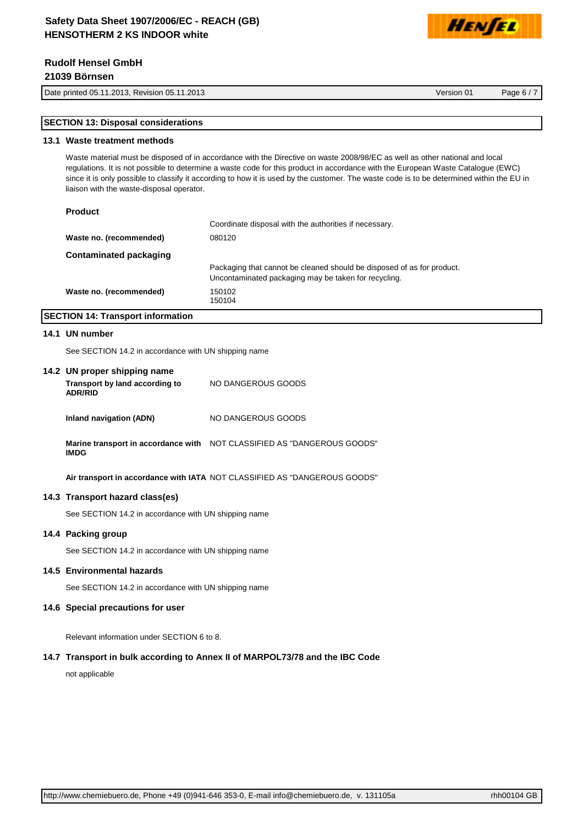# **Rudolf Hensel GmbH**

**21039 Börnsen**

Date printed 05.11.2013, Revision 05.11.2013 Version 01 Page 6 / 7

HENTEL

# **SECTION 13: Disposal considerations**

#### **13.1 Waste treatment methods**

Waste material must be disposed of in accordance with the Directive on waste 2008/98/EC as well as other national and local regulations. It is not possible to determine a waste code for this product in accordance with the European Waste Catalogue (EWC) since it is only possible to classify it according to how it is used by the customer. The waste code is to be determined within the EU in liaison with the waste-disposal operator.

#### **Product**

|                               | Coordinate disposal with the authorities if necessary.                                                                         |
|-------------------------------|--------------------------------------------------------------------------------------------------------------------------------|
| Waste no. (recommended)       | 080120                                                                                                                         |
| <b>Contaminated packaging</b> |                                                                                                                                |
|                               | Packaging that cannot be cleaned should be disposed of as for product.<br>Uncontaminated packaging may be taken for recycling. |
| Waste no. (recommended)       | 150102<br>150104                                                                                                               |

## **SECTION 14: Transport information**

#### **14.1 UN number**

See SECTION 14.2 in accordance with UN shipping name

#### **14.2 UN proper shipping name**

| Transport by land according to<br><b>ADR/RID</b> | NO DANGEROUS GOODS                                                      |
|--------------------------------------------------|-------------------------------------------------------------------------|
| Inland navigation (ADN)                          | NO DANGEROUS GOODS                                                      |
| IMDG                                             | Marine transport in accordance with NOT CLASSIFIED AS "DANGEROUS GOODS" |

**Air transport in accordance with IATA** NOT CLASSIFIED AS "DANGEROUS GOODS"

#### **14.3 Transport hazard class(es)**

See SECTION 14.2 in accordance with UN shipping name

## **14.4 Packing group**

See SECTION 14.2 in accordance with UN shipping name

#### **14.5 Environmental hazards**

See SECTION 14.2 in accordance with UN shipping name

#### **14.6 Special precautions for user**

Relevant information under SECTION 6 to 8.

#### **14.7 Transport in bulk according to Annex II of MARPOL73/78 and the IBC Code**

not applicable